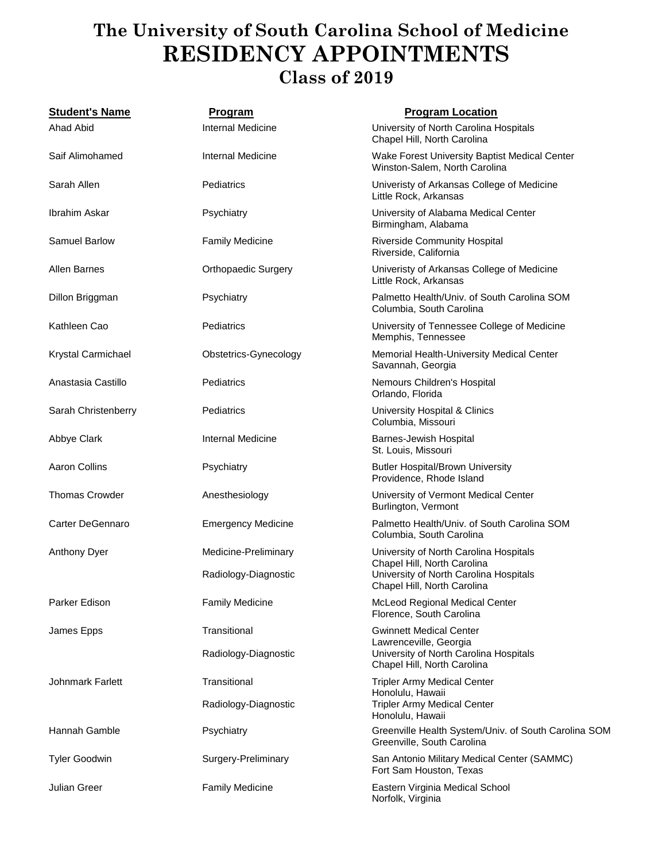## **The University of South Carolina School of Medicine RESIDENCY APPOINTMENTS Class of 2019**

| <b>Student's Name</b> | <b>Program</b>             | <b>Program Location</b>                                                                                                                        |
|-----------------------|----------------------------|------------------------------------------------------------------------------------------------------------------------------------------------|
| <b>Ahad Abid</b>      | Internal Medicine          | University of North Carolina Hospitals<br>Chapel Hill, North Carolina                                                                          |
| Saif Alimohamed       | Internal Medicine          | Wake Forest University Baptist Medical Center<br>Winston-Salem, North Carolina                                                                 |
| Sarah Allen           | Pediatrics                 | Univeristy of Arkansas College of Medicine<br>Little Rock, Arkansas                                                                            |
| Ibrahim Askar         | Psychiatry                 | University of Alabama Medical Center<br>Birmingham, Alabama                                                                                    |
| <b>Samuel Barlow</b>  | <b>Family Medicine</b>     | <b>Riverside Community Hospital</b><br>Riverside, California                                                                                   |
| <b>Allen Barnes</b>   | <b>Orthopaedic Surgery</b> | Univeristy of Arkansas College of Medicine<br>Little Rock, Arkansas                                                                            |
| Dillon Briggman       | Psychiatry                 | Palmetto Health/Univ. of South Carolina SOM<br>Columbia, South Carolina                                                                        |
| Kathleen Cao          | Pediatrics                 | University of Tennessee College of Medicine<br>Memphis, Tennessee                                                                              |
| Krystal Carmichael    | Obstetrics-Gynecology      | Memorial Health-University Medical Center<br>Savannah, Georgia                                                                                 |
| Anastasia Castillo    | Pediatrics                 | Nemours Children's Hospital<br>Orlando, Florida                                                                                                |
| Sarah Christenberry   | Pediatrics                 | University Hospital & Clinics<br>Columbia, Missouri                                                                                            |
| Abbye Clark           | Internal Medicine          | <b>Barnes-Jewish Hospital</b><br>St. Louis, Missouri                                                                                           |
| <b>Aaron Collins</b>  | Psychiatry                 | <b>Butler Hospital/Brown University</b><br>Providence, Rhode Island                                                                            |
| <b>Thomas Crowder</b> | Anesthesiology             | University of Vermont Medical Center<br>Burlington, Vermont                                                                                    |
| Carter DeGennaro      | <b>Emergency Medicine</b>  | Palmetto Health/Univ. of South Carolina SOM<br>Columbia, South Carolina                                                                        |
| <b>Anthony Dyer</b>   | Medicine-Preliminary       | University of North Carolina Hospitals<br>Chapel Hill, North Carolina<br>University of North Carolina Hospitals<br>Chapel Hill, North Carolina |
|                       | Radiology-Diagnostic       |                                                                                                                                                |
| Parker Edison         | <b>Family Medicine</b>     | McLeod Regional Medical Center<br>Florence, South Carolina                                                                                     |
| James Epps            | Transitional               | <b>Gwinnett Medical Center</b><br>Lawrenceville, Georgia<br>University of North Carolina Hospitals<br>Chapel Hill, North Carolina              |
|                       | Radiology-Diagnostic       |                                                                                                                                                |
| Johnmark Farlett      | Transitional               | <b>Tripler Army Medical Center</b><br>Honolulu, Hawaii<br><b>Tripler Army Medical Center</b><br>Honolulu, Hawaii                               |
|                       | Radiology-Diagnostic       |                                                                                                                                                |
| Hannah Gamble         | Psychiatry                 | Greenville Health System/Univ. of South Carolina SOM<br>Greenville, South Carolina                                                             |
| <b>Tyler Goodwin</b>  | Surgery-Preliminary        | San Antonio Military Medical Center (SAMMC)<br>Fort Sam Houston, Texas                                                                         |
| Julian Greer          | <b>Family Medicine</b>     | Eastern Virginia Medical School<br>Norfolk, Virginia                                                                                           |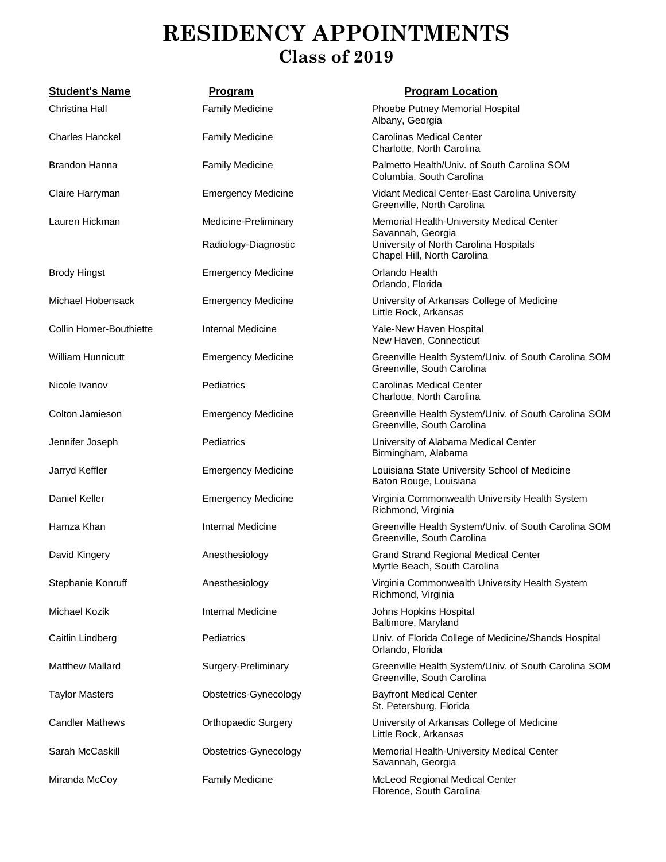## **RESIDENCY APPOINTMENTS Class of 2019**

| <b>Student's Name</b>   | <b>Program</b>             | <b>Program Location</b>                                                                                                                 |
|-------------------------|----------------------------|-----------------------------------------------------------------------------------------------------------------------------------------|
| Christina Hall          | <b>Family Medicine</b>     | Phoebe Putney Memorial Hospital<br>Albany, Georgia                                                                                      |
| <b>Charles Hanckel</b>  | <b>Family Medicine</b>     | <b>Carolinas Medical Center</b><br>Charlotte, North Carolina                                                                            |
| <b>Brandon Hanna</b>    | <b>Family Medicine</b>     | Palmetto Health/Univ. of South Carolina SOM<br>Columbia, South Carolina                                                                 |
| Claire Harryman         | <b>Emergency Medicine</b>  | Vidant Medical Center-East Carolina University<br>Greenville, North Carolina                                                            |
| Lauren Hickman          | Medicine-Preliminary       | Memorial Health-University Medical Center<br>Savannah, Georgia<br>University of North Carolina Hospitals<br>Chapel Hill, North Carolina |
|                         | Radiology-Diagnostic       |                                                                                                                                         |
| <b>Brody Hingst</b>     | <b>Emergency Medicine</b>  | Orlando Health<br>Orlando, Florida                                                                                                      |
| Michael Hobensack       | <b>Emergency Medicine</b>  | University of Arkansas College of Medicine<br>Little Rock, Arkansas                                                                     |
| Collin Homer-Bouthiette | Internal Medicine          | Yale-New Haven Hospital<br>New Haven, Connecticut                                                                                       |
| William Hunnicutt       | <b>Emergency Medicine</b>  | Greenville Health System/Univ. of South Carolina SOM<br>Greenville, South Carolina                                                      |
| Nicole Ivanov           | Pediatrics                 | <b>Carolinas Medical Center</b><br>Charlotte, North Carolina                                                                            |
| Colton Jamieson         | <b>Emergency Medicine</b>  | Greenville Health System/Univ. of South Carolina SOM<br>Greenville, South Carolina                                                      |
| Jennifer Joseph         | Pediatrics                 | University of Alabama Medical Center<br>Birmingham, Alabama                                                                             |
| Jarryd Keffler          | <b>Emergency Medicine</b>  | Louisiana State University School of Medicine<br>Baton Rouge, Louisiana                                                                 |
| Daniel Keller           | <b>Emergency Medicine</b>  | Virginia Commonwealth University Health System<br>Richmond, Virginia                                                                    |
| Hamza Khan              | Internal Medicine          | Greenville Health System/Univ. of South Carolina SOM<br>Greenville, South Carolina                                                      |
| David Kingery           | Anesthesiology             | <b>Grand Strand Regional Medical Center</b><br>Myrtle Beach, South Carolina                                                             |
| Stephanie Konruff       | Anesthesiology             | Virginia Commonwealth University Health System<br>Richmond, Virginia                                                                    |
| Michael Kozik           | Internal Medicine          | Johns Hopkins Hospital<br>Baltimore, Maryland                                                                                           |
| Caitlin Lindberg        | Pediatrics                 | Univ. of Florida College of Medicine/Shands Hospital<br>Orlando, Florida                                                                |
| <b>Matthew Mallard</b>  | Surgery-Preliminary        | Greenville Health System/Univ. of South Carolina SOM<br>Greenville, South Carolina                                                      |
| <b>Taylor Masters</b>   | Obstetrics-Gynecology      | <b>Bayfront Medical Center</b><br>St. Petersburg, Florida                                                                               |
| <b>Candler Mathews</b>  | <b>Orthopaedic Surgery</b> | University of Arkansas College of Medicine<br>Little Rock, Arkansas                                                                     |
| Sarah McCaskill         | Obstetrics-Gynecology      | Memorial Health-University Medical Center<br>Savannah, Georgia                                                                          |
| Miranda McCoy           | <b>Family Medicine</b>     | McLeod Regional Medical Center<br>Florence, South Carolina                                                                              |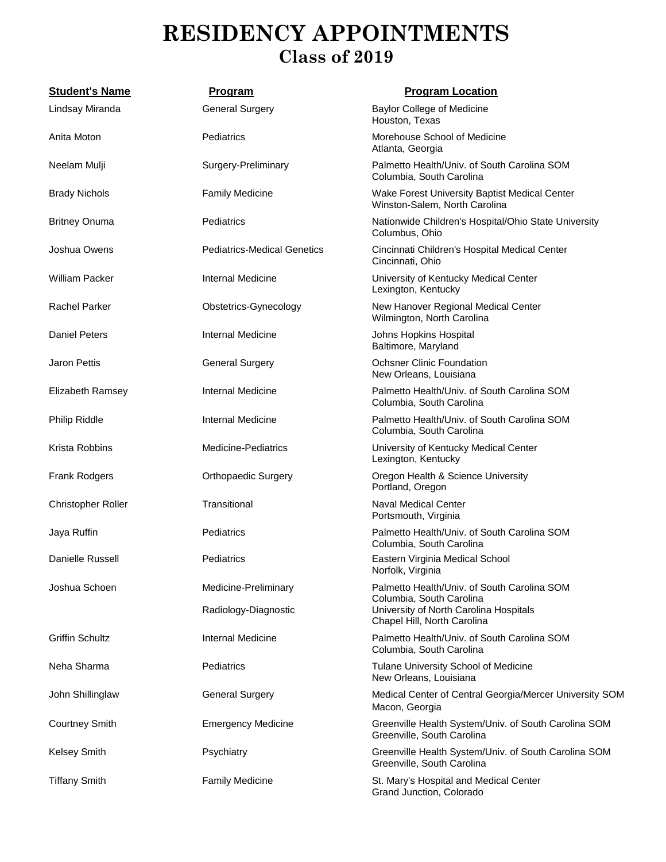## **RESIDENCY APPOINTMENTS Class of 2019**

| <b>Student's Name</b>  | <b>Program</b>                     | <b>Program Location</b>                                                            |
|------------------------|------------------------------------|------------------------------------------------------------------------------------|
| Lindsay Miranda        | <b>General Surgery</b>             | <b>Baylor College of Medicine</b><br>Houston, Texas                                |
| Anita Moton            | Pediatrics                         | Morehouse School of Medicine<br>Atlanta, Georgia                                   |
| Neelam Mulji           | Surgery-Preliminary                | Palmetto Health/Univ. of South Carolina SOM<br>Columbia, South Carolina            |
| <b>Brady Nichols</b>   | <b>Family Medicine</b>             | Wake Forest University Baptist Medical Center<br>Winston-Salem, North Carolina     |
| <b>Britney Onuma</b>   | Pediatrics                         | Nationwide Children's Hospital/Ohio State University<br>Columbus, Ohio             |
| Joshua Owens           | <b>Pediatrics-Medical Genetics</b> | Cincinnati Children's Hospital Medical Center<br>Cincinnati, Ohio                  |
| William Packer         | Internal Medicine                  | University of Kentucky Medical Center<br>Lexington, Kentucky                       |
| <b>Rachel Parker</b>   | Obstetrics-Gynecology              | New Hanover Regional Medical Center<br>Wilmington, North Carolina                  |
| <b>Daniel Peters</b>   | Internal Medicine                  | Johns Hopkins Hospital<br>Baltimore, Maryland                                      |
| <b>Jaron Pettis</b>    | <b>General Surgery</b>             | <b>Ochsner Clinic Foundation</b><br>New Orleans, Louisiana                         |
| Elizabeth Ramsey       | Internal Medicine                  | Palmetto Health/Univ. of South Carolina SOM<br>Columbia, South Carolina            |
| Philip Riddle          | Internal Medicine                  | Palmetto Health/Univ. of South Carolina SOM<br>Columbia, South Carolina            |
| Krista Robbins         | <b>Medicine-Pediatrics</b>         | University of Kentucky Medical Center<br>Lexington, Kentucky                       |
| Frank Rodgers          | <b>Orthopaedic Surgery</b>         | Oregon Health & Science University<br>Portland, Oregon                             |
| Christopher Roller     | Transitional                       | <b>Naval Medical Center</b><br>Portsmouth, Virginia                                |
| Jaya Ruffin            | Pediatrics                         | Palmetto Health/Univ. of South Carolina SOM<br>Columbia, South Carolina            |
| Danielle Russell       | Pediatrics                         | Eastern Virginia Medical School<br>Norfolk, Virginia                               |
| Joshua Schoen          | Medicine-Preliminary               | Palmetto Health/Univ. of South Carolina SOM<br>Columbia, South Carolina            |
|                        | Radiology-Diagnostic               | University of North Carolina Hospitals<br>Chapel Hill, North Carolina              |
| <b>Griffin Schultz</b> | Internal Medicine                  | Palmetto Health/Univ. of South Carolina SOM<br>Columbia, South Carolina            |
| Neha Sharma            | Pediatrics                         | Tulane University School of Medicine<br>New Orleans, Louisiana                     |
| John Shillinglaw       | <b>General Surgery</b>             | Medical Center of Central Georgia/Mercer University SOM<br>Macon, Georgia          |
| <b>Courtney Smith</b>  | <b>Emergency Medicine</b>          | Greenville Health System/Univ. of South Carolina SOM<br>Greenville, South Carolina |
| <b>Kelsey Smith</b>    | Psychiatry                         | Greenville Health System/Univ. of South Carolina SOM<br>Greenville, South Carolina |
| <b>Tiffany Smith</b>   | <b>Family Medicine</b>             | St. Mary's Hospital and Medical Center<br>Grand Junction, Colorado                 |